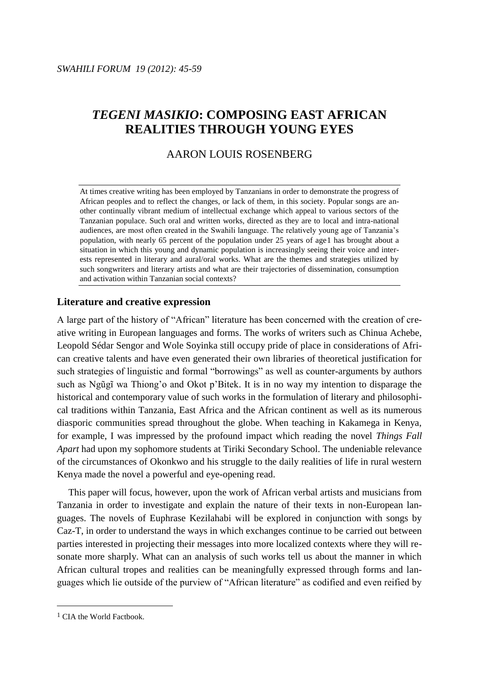# *TEGENI MASIKIO***: COMPOSING EAST AFRICAN REALITIES THROUGH YOUNG EYES**

## AARON LOUIS ROSENBERG

At times creative writing has been employed by Tanzanians in order to demonstrate the progress of African peoples and to reflect the changes, or lack of them, in this society. Popular songs are another continually vibrant medium of intellectual exchange which appeal to various sectors of the Tanzanian populace. Such oral and written works, directed as they are to local and intra-national audiences, are most often created in the Swahili language. The relatively young age of Tanzania's population, with nearly 65 percent of the population under 25 years of age1 has brought about a situation in which this young and dynamic population is increasingly seeing their voice and interests represented in literary and aural/oral works. What are the themes and strategies utilized by such songwriters and literary artists and what are their trajectories of dissemination, consumption and activation within Tanzanian social contexts?

## **Literature and creative expression**

A large part of the history of "African" literature has been concerned with the creation of creative writing in European languages and forms. The works of writers such as Chinua Achebe, Leopold Sédar Sengor and Wole Soyinka still occupy pride of place in considerations of African creative talents and have even generated their own libraries of theoretical justification for such strategies of linguistic and formal "borrowings" as well as counter-arguments by authors such as Ngũgĩ wa Thiong'o and Okot p'Bitek. It is in no way my intention to disparage the historical and contemporary value of such works in the formulation of literary and philosophical traditions within Tanzania, East Africa and the African continent as well as its numerous diasporic communities spread throughout the globe. When teaching in Kakamega in Kenya, for example, I was impressed by the profound impact which reading the novel *Things Fall Apart* had upon my sophomore students at Tiriki Secondary School. The undeniable relevance of the circumstances of Okonkwo and his struggle to the daily realities of life in rural western Kenya made the novel a powerful and eye-opening read.

This paper will focus, however, upon the work of African verbal artists and musicians from Tanzania in order to investigate and explain the nature of their texts in non-European languages. The novels of Euphrase Kezilahabi will be explored in conjunction with songs by Caz-T, in order to understand the ways in which exchanges continue to be carried out between parties interested in projecting their messages into more localized contexts where they will resonate more sharply. What can an analysis of such works tell us about the manner in which African cultural tropes and realities can be meaningfully expressed through forms and languages which lie outside of the purview of "African literature" as codified and even reified by

<sup>1</sup> CIA the World Factbook.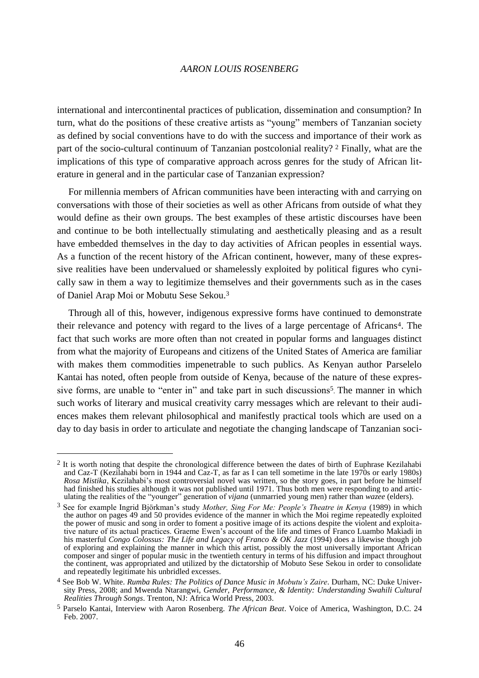international and intercontinental practices of publication, dissemination and consumption? In turn, what do the positions of these creative artists as "young" members of Tanzanian society as defined by social conventions have to do with the success and importance of their work as part of the socio-cultural continuum of Tanzanian postcolonial reality? <sup>2</sup> Finally, what are the implications of this type of comparative approach across genres for the study of African literature in general and in the particular case of Tanzanian expression?

For millennia members of African communities have been interacting with and carrying on conversations with those of their societies as well as other Africans from outside of what they would define as their own groups. The best examples of these artistic discourses have been and continue to be both intellectually stimulating and aesthetically pleasing and as a result have embedded themselves in the day to day activities of African peoples in essential ways. As a function of the recent history of the African continent, however, many of these expressive realities have been undervalued or shamelessly exploited by political figures who cynically saw in them a way to legitimize themselves and their governments such as in the cases of Daniel Arap Moi or Mobutu Sese Sekou.<sup>3</sup>

Through all of this, however, indigenous expressive forms have continued to demonstrate their relevance and potency with regard to the lives of a large percentage of Africans4. The fact that such works are more often than not created in popular forms and languages distinct from what the majority of Europeans and citizens of the United States of America are familiar with makes them commodities impenetrable to such publics. As Kenyan author Parselelo Kantai has noted, often people from outside of Kenya, because of the nature of these expressive forms, are unable to "enter in" and take part in such discussions<sup>5</sup>. The manner in which such works of literary and musical creativity carry messages which are relevant to their audiences makes them relevant philosophical and manifestly practical tools which are used on a day to day basis in order to articulate and negotiate the changing landscape of Tanzanian soci-

<sup>&</sup>lt;sup>2</sup> It is worth noting that despite the chronological difference between the dates of birth of Euphrase Kezilahabi and Caz-T (Kezilahabi born in 1944 and Caz-T, as far as I can tell sometime in the late 1970s or early 1980s) *Rosa Mistika*, Kezilahabi's most controversial novel was written, so the story goes, in part before he himself had finished his studies although it was not published until 1971. Thus both men were responding to and articulating the realities of the "younger" generation of *vijana* (unmarried young men) rather than *wazee* (elders).

<sup>3</sup> See for example Ingrid Björkman's study *Mother, Sing For Me: People's Theatre in Kenya* (1989) in which the author on pages 49 and 50 provides evidence of the manner in which the Moi regime repeatedly exploited the power of music and song in order to foment a positive image of its actions despite the violent and exploitative nature of its actual practices. Graeme Ewen's account of the life and times of Franco Luambo Makiadi in his masterful *Congo Colossus: The Life and Legacy of Franco & OK Jazz* (1994) does a likewise though job of exploring and explaining the manner in which this artist, possibly the most universally important African composer and singer of popular music in the twentieth century in terms of his diffusion and impact throughout the continent, was appropriated and utilized by the dictatorship of Mobuto Sese Sekou in order to consolidate and repeatedly legitimate his unbridled excesses.

<sup>4</sup> See Bob W. White. *Rumba Rules: The Politics of Dance Music in Mobutu's Zaire*. Durham, NC: Duke University Press, 2008; and Mwenda Ntarangwi, *Gender, Performance, & Identity: Understanding Swahili Cultural Realities Through Songs*. Trenton, NJ: Africa World Press, 2003.

<sup>5</sup> Parselo Kantai, Interview with Aaron Rosenberg. *The African Beat*. Voice of America, Washington, D.C. 24 Feb. 2007.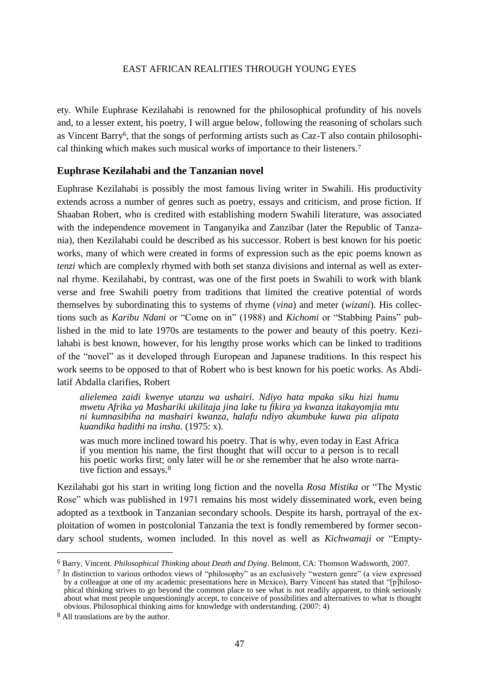ety. While Euphrase Kezilahabi is renowned for the philosophical profundity of his novels and, to a lesser extent, his poetry, I will argue below, following the reasoning of scholars such as Vincent Barry6, that the songs of performing artists such as Caz-T also contain philosophical thinking which makes such musical works of importance to their listeners.<sup>7</sup>

## **Euphrase Kezilahabi and the Tanzanian novel**

Euphrase Kezilahabi is possibly the most famous living writer in Swahili. His productivity extends across a number of genres such as poetry, essays and criticism, and prose fiction. If Shaaban Robert, who is credited with establishing modern Swahili literature, was associated with the independence movement in Tanganyika and Zanzibar (later the Republic of Tanzania), then Kezilahabi could be described as his successor. Robert is best known for his poetic works, many of which were created in forms of expression such as the epic poems known as *tenzi* which are complexly rhymed with both set stanza divisions and internal as well as external rhyme. Kezilahabi, by contrast, was one of the first poets in Swahili to work with blank verse and free Swahili poetry from traditions that limited the creative potential of words themselves by subordinating this to systems of rhyme (*vina*) and meter (*wizani*). His collections such as *Karibu Ndani* or "Come on in" (1988) and *Kichomi* or "Stabbing Pains" published in the mid to late 1970s are testaments to the power and beauty of this poetry. Kezilahabi is best known, however, for his lengthy prose works which can be linked to traditions of the "novel" as it developed through European and Japanese traditions. In this respect his work seems to be opposed to that of Robert who is best known for his poetic works. As Abdilatif Abdalla clarifies, Robert

*alielemea zaidi kwenye utanzu wa ushairi. Ndiyo hata mpaka siku hizi humu mwetu Afrika ya Mashariki ukilitaja jina lake tu fikira ya kwanza itakayomjia mtu ni kumnasibiha na mashairi kwanza, halafu ndiyo akumbuke kuwa pia alipata kuandika hadithi na insha*. (1975: x).

was much more inclined toward his poetry. That is why, even today in East Africa if you mention his name, the first thought that will occur to a person is to recall his poetic works first; only later will he or she remember that he also wrote narrative fiction and essays.<sup>8</sup>

Kezilahabi got his start in writing long fiction and the novella *Rosa Mistika* or "The Mystic Rose" which was published in 1971 remains his most widely disseminated work, even being adopted as a textbook in Tanzanian secondary schools. Despite its harsh, portrayal of the exploitation of women in postcolonial Tanzania the text is fondly remembered by former secondary school students, women included. In this novel as well as *Kichwamaji* or "Empty-

<sup>6</sup> Barry, Vincent. *Philosophical Thinking about Death and Dying*. Belmont, CA: Thomson Wadsworth, 2007.

 $7$  In distinction to various orthodox views of "philosophy" as an exclusively "western genre" (a view expressed by a colleague at one of my academic presentations here in Mexico), Barry Vincent has stated that "[p]hilosophical thinking strives to go beyond the common place to see what is not readily apparent, to think seriously about what most people unquestioningly accept, to conceive of possibilities and alternatives to what is thought obvious. Philosophical thinking aims for knowledge with understanding. (2007: 4)

<sup>8</sup> All translations are by the author.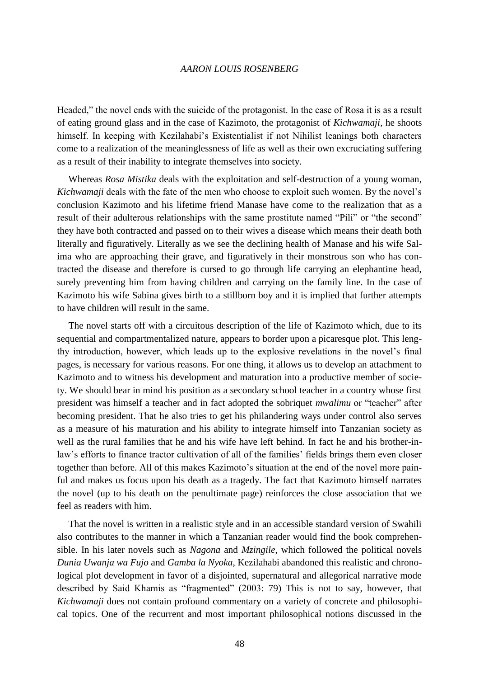Headed," the novel ends with the suicide of the protagonist. In the case of Rosa it is as a result of eating ground glass and in the case of Kazimoto, the protagonist of *Kichwamaji*, he shoots himself. In keeping with Kezilahabi's Existentialist if not Nihilist leanings both characters come to a realization of the meaninglessness of life as well as their own excruciating suffering as a result of their inability to integrate themselves into society.

Whereas *Rosa Mistika* deals with the exploitation and self-destruction of a young woman, *Kichwamaji* deals with the fate of the men who choose to exploit such women. By the novel's conclusion Kazimoto and his lifetime friend Manase have come to the realization that as a result of their adulterous relationships with the same prostitute named "Pili" or "the second" they have both contracted and passed on to their wives a disease which means their death both literally and figuratively. Literally as we see the declining health of Manase and his wife Salima who are approaching their grave, and figuratively in their monstrous son who has contracted the disease and therefore is cursed to go through life carrying an elephantine head, surely preventing him from having children and carrying on the family line. In the case of Kazimoto his wife Sabina gives birth to a stillborn boy and it is implied that further attempts to have children will result in the same.

The novel starts off with a circuitous description of the life of Kazimoto which, due to its sequential and compartmentalized nature, appears to border upon a picaresque plot. This lengthy introduction, however, which leads up to the explosive revelations in the novel's final pages, is necessary for various reasons. For one thing, it allows us to develop an attachment to Kazimoto and to witness his development and maturation into a productive member of society. We should bear in mind his position as a secondary school teacher in a country whose first president was himself a teacher and in fact adopted the sobriquet *mwalimu* or "teacher" after becoming president. That he also tries to get his philandering ways under control also serves as a measure of his maturation and his ability to integrate himself into Tanzanian society as well as the rural families that he and his wife have left behind. In fact he and his brother-inlaw's efforts to finance tractor cultivation of all of the families' fields brings them even closer together than before. All of this makes Kazimoto's situation at the end of the novel more painful and makes us focus upon his death as a tragedy. The fact that Kazimoto himself narrates the novel (up to his death on the penultimate page) reinforces the close association that we feel as readers with him.

That the novel is written in a realistic style and in an accessible standard version of Swahili also contributes to the manner in which a Tanzanian reader would find the book comprehensible. In his later novels such as *Nagona* and *Mzingile*, which followed the political novels *Dunia Uwanja wa Fujo* and *Gamba la Nyoka*, Kezilahabi abandoned this realistic and chronological plot development in favor of a disjointed, supernatural and allegorical narrative mode described by Said Khamis as "fragmented" (2003: 79) This is not to say, however, that *Kichwamaji* does not contain profound commentary on a variety of concrete and philosophical topics. One of the recurrent and most important philosophical notions discussed in the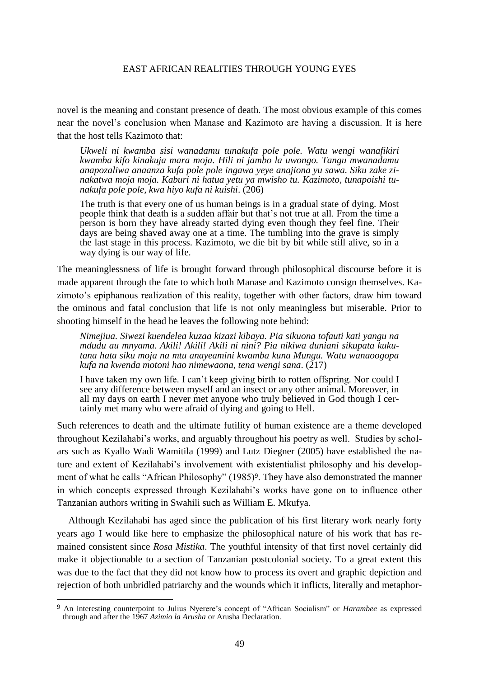novel is the meaning and constant presence of death. The most obvious example of this comes near the novel's conclusion when Manase and Kazimoto are having a discussion. It is here that the host tells Kazimoto that:

*Ukweli ni kwamba sisi wanadamu tunakufa pole pole. Watu wengi wanafikiri kwamba kifo kinakuja mara moja. Hili ni jambo la uwongo. Tangu mwanadamu anapozaliwa anaanza kufa pole pole ingawa yeye anajiona yu sawa. Siku zake zinakatwa moja moja. Kaburi ni hatua yetu ya mwisho tu. Kazimoto, tunapoishi tunakufa pole pole, kwa hiyo kufa ni kuishi*. (206)

The truth is that every one of us human beings is in a gradual state of dying. Most people think that death is a sudden affair but that's not true at all. From the time a person is born they have already started dying even though they feel fine. Their days are being shaved away one at a time. The tumbling into the grave is simply the last stage in this process. Kazimoto, we die bit by bit while still alive, so in a way dying is our way of life.

The meaninglessness of life is brought forward through philosophical discourse before it is made apparent through the fate to which both Manase and Kazimoto consign themselves. Kazimoto's epiphanous realization of this reality, together with other factors, draw him toward the ominous and fatal conclusion that life is not only meaningless but miserable. Prior to shooting himself in the head he leaves the following note behind:

*Nimejiua. Siwezi kuendelea kuzaa kizazi kibaya. Pia sikuona tofauti kati yangu na mdudu au mnyama. Akili! Akili! Akili ni nini? Pia nikiwa duniani sikupata kukutana hata siku moja na mtu anayeamini kwamba kuna Mungu. Watu wanaoogopa kufa na kwenda motoni hao nimewaona, tena wengi sana*. (217)

I have taken my own life. I can't keep giving birth to rotten offspring. Nor could I see any difference between myself and an insect or any other animal. Moreover, in all my days on earth I never met anyone who truly believed in God though I certainly met many who were afraid of dying and going to Hell.

Such references to death and the ultimate futility of human existence are a theme developed throughout Kezilahabi's works, and arguably throughout his poetry as well. Studies by scholars such as Kyallo Wadi Wamitila (1999) and Lutz Diegner (2005) have established the nature and extent of Kezilahabi's involvement with existentialist philosophy and his development of what he calls "African Philosophy" (1985)<sup>9</sup>. They have also demonstrated the manner in which concepts expressed through Kezilahabi's works have gone on to influence other Tanzanian authors writing in Swahili such as William E. Mkufya.

Although Kezilahabi has aged since the publication of his first literary work nearly forty years ago I would like here to emphasize the philosophical nature of his work that has remained consistent since *Rosa Mistika*. The youthful intensity of that first novel certainly did make it objectionable to a section of Tanzanian postcolonial society. To a great extent this was due to the fact that they did not know how to process its overt and graphic depiction and rejection of both unbridled patriarchy and the wounds which it inflicts, literally and metaphor-

<sup>9</sup> An interesting counterpoint to Julius Nyerere's concept of "African Socialism" or *Harambee* as expressed through and after the 1967 *Azimio la Arusha* or Arusha Declaration.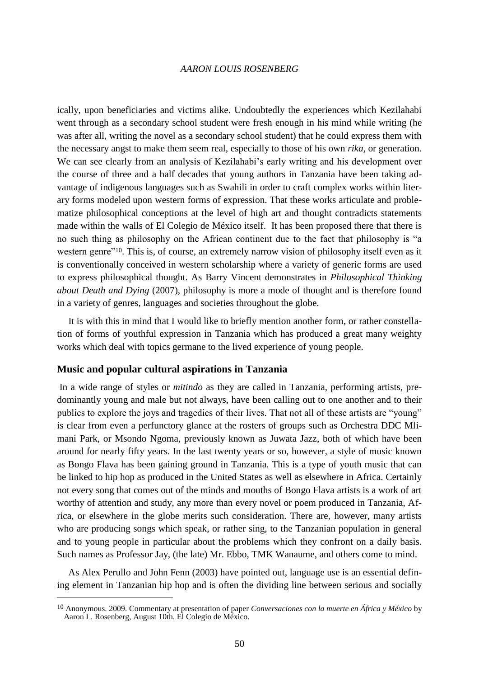ically, upon beneficiaries and victims alike. Undoubtedly the experiences which Kezilahabi went through as a secondary school student were fresh enough in his mind while writing (he was after all, writing the novel as a secondary school student) that he could express them with the necessary angst to make them seem real, especially to those of his own *rika*, or generation. We can see clearly from an analysis of Kezilahabi's early writing and his development over the course of three and a half decades that young authors in Tanzania have been taking advantage of indigenous languages such as Swahili in order to craft complex works within literary forms modeled upon western forms of expression. That these works articulate and problematize philosophical conceptions at the level of high art and thought contradicts statements made within the walls of El Colegio de México itself. It has been proposed there that there is no such thing as philosophy on the African continent due to the fact that philosophy is "a western genre<sup>"10</sup>. This is, of course, an extremely narrow vision of philosophy itself even as it is conventionally conceived in western scholarship where a variety of generic forms are used to express philosophical thought. As Barry Vincent demonstrates in *Philosophical Thinking about Death and Dying* (2007), philosophy is more a mode of thought and is therefore found in a variety of genres, languages and societies throughout the globe.

It is with this in mind that I would like to briefly mention another form, or rather constellation of forms of youthful expression in Tanzania which has produced a great many weighty works which deal with topics germane to the lived experience of young people.

## **Music and popular cultural aspirations in Tanzania**

 $\overline{a}$ 

In a wide range of styles or *mitindo* as they are called in Tanzania, performing artists, predominantly young and male but not always, have been calling out to one another and to their publics to explore the joys and tragedies of their lives. That not all of these artists are "young" is clear from even a perfunctory glance at the rosters of groups such as Orchestra DDC Mlimani Park, or Msondo Ngoma, previously known as Juwata Jazz, both of which have been around for nearly fifty years. In the last twenty years or so, however, a style of music known as Bongo Flava has been gaining ground in Tanzania. This is a type of youth music that can be linked to hip hop as produced in the United States as well as elsewhere in Africa. Certainly not every song that comes out of the minds and mouths of Bongo Flava artists is a work of art worthy of attention and study, any more than every novel or poem produced in Tanzania, Africa, or elsewhere in the globe merits such consideration. There are, however, many artists who are producing songs which speak, or rather sing, to the Tanzanian population in general and to young people in particular about the problems which they confront on a daily basis. Such names as Professor Jay, (the late) Mr. Ebbo, TMK Wanaume, and others come to mind.

As Alex Perullo and John Fenn (2003) have pointed out, language use is an essential defining element in Tanzanian hip hop and is often the dividing line between serious and socially

<sup>10</sup> Anonymous. 2009. Commentary at presentation of paper *Conversaciones con la muerte en África y México* by Aaron L. Rosenberg, August 10th. El Colegio de México.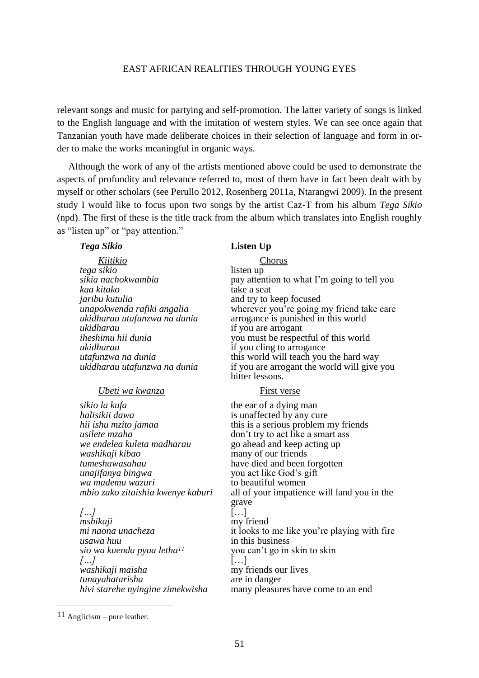relevant songs and music for partying and self-promotion. The latter variety of songs is linked to the English language and with the imitation of western styles. We can see once again that Tanzanian youth have made deliberate choices in their selection of language and form in order to make the works meaningful in organic ways.

Although the work of any of the artists mentioned above could be used to demonstrate the aspects of profundity and relevance referred to, most of them have in fact been dealt with by myself or other scholars (see Perullo 2012, Rosenberg 2011a, Ntarangwi 2009). In the present study I would like to focus upon two songs by the artist Caz-T from his album *Tega Sikio*  (npd). The first of these is the title track from the album which translates into English roughly as "listen up" or "pay attention."

#### *Tega Sikio* **Listen Up**

| Kiitikio                               | <b>Chorus</b>                                |
|----------------------------------------|----------------------------------------------|
| tega sikio                             | listen up                                    |
| sikia nachokwambia                     | pay attention to what I'm going to tell you  |
| kaa kitako                             | take a seat                                  |
| jaribu kutulia                         | and try to keep focused                      |
| unapokwenda rafiki angalia             | wherever you're going my friend take care    |
| ukidharau utafunzwa na dunia           | arrogance is punished in this world          |
| ukidharau                              | if you are arrogant                          |
| iheshimu hii dunia                     | you must be respectful of this world         |
| ukidharau                              | if you cling to arrogance                    |
| utafunzwa na dunia                     | this world will teach you the hard way       |
| ukidharau utafunzwa na dunia           | if you are arrogant the world will give you  |
|                                        | bitter lessons.                              |
| Ubeti wa kwanza                        | First verse                                  |
| sikio la kufa                          | the ear of a dying man                       |
| halisikii dawa                         | is unaffected by any cure                    |
| hii ishu mzito jamaa                   | this is a serious problem my friends         |
| usilete mzaha                          | don't try to act like a smart ass            |
| we endelea kuleta madharau             | go ahead and keep acting up                  |
| washikaji kibao                        | many of our friends                          |
| tumeshawasahau                         | have died and been forgotten                 |
| unajifanya bingwa                      | you act like God's gift                      |
| wa mademu wazuri                       | to beautiful women                           |
| mbio zako zitaishia kwenye kaburi      | all of your impatience will land you in the  |
|                                        | grave                                        |
| $\left[\ldots\right]$                  | $[\ldots]$                                   |
| mshikaji                               | my friend                                    |
| mi naona unacheza                      | it looks to me like you're playing with fire |
| usawa huu                              | in this business                             |
| sio wa kuenda pyua letha <sup>11</sup> | you can't go in skin to skin                 |
| $/$ $/$                                | $\left[\ldots\right]$                        |
| washikaji maisha                       | my friends our lives                         |
| tunayahatarisha                        | are in danger                                |
| hivi starehe nyingine zimekwisha       | many pleasures have come to an end           |
|                                        |                                              |

 $11$  Anglicism – pure leather.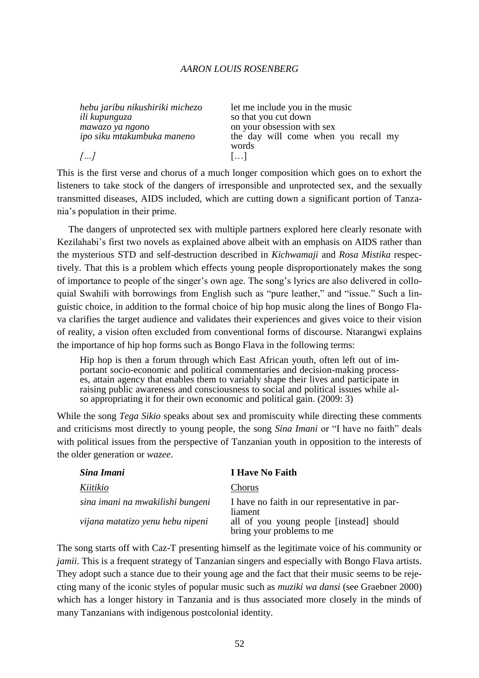| hebu jaribu nikushiriki michezo | let me include you in the music      |
|---------------------------------|--------------------------------------|
| ili kupunguza                   | so that you cut down                 |
| mawazo ya ngono                 | on your obsession with sex           |
| ipo siku mtakumbuka maneno      | the day will come when you recall my |
|                                 | words                                |
| []                              | 11                                   |

This is the first verse and chorus of a much longer composition which goes on to exhort the listeners to take stock of the dangers of irresponsible and unprotected sex, and the sexually transmitted diseases, AIDS included, which are cutting down a significant portion of Tanzania's population in their prime.

The dangers of unprotected sex with multiple partners explored here clearly resonate with Kezilahabi's first two novels as explained above albeit with an emphasis on AIDS rather than the mysterious STD and self-destruction described in *Kichwamaji* and *Rosa Mistika* respectively. That this is a problem which effects young people disproportionately makes the song of importance to people of the singer's own age. The song's lyrics are also delivered in colloquial Swahili with borrowings from English such as "pure leather," and "issue." Such a linguistic choice, in addition to the formal choice of hip hop music along the lines of Bongo Flava clarifies the target audience and validates their experiences and gives voice to their vision of reality, a vision often excluded from conventional forms of discourse. Ntarangwi explains the importance of hip hop forms such as Bongo Flava in the following terms:

Hip hop is then a forum through which East African youth, often left out of important socio-economic and political commentaries and decision-making processes, attain agency that enables them to variably shape their lives and participate in raising public awareness and consciousness to social and political issues while also appropriating it for their own economic and political gain. (2009: 3)

While the song *Tega Sikio* speaks about sex and promiscuity while directing these comments and criticisms most directly to young people, the song *Sina Imani* or "I have no faith" deals with political issues from the perspective of Tanzanian youth in opposition to the interests of the older generation or *wazee*.

| Sina Imani                       | <b>I Have No Faith</b>                                                |
|----------------------------------|-----------------------------------------------------------------------|
| Kiitikio                         | Chorus                                                                |
| sina imani na mwakilishi bungeni | I have no faith in our representative in par-<br>liament              |
| vijana matatizo yenu hebu nipeni | all of you young people [instead] should<br>bring your problems to me |

The song starts off with Caz-T presenting himself as the legitimate voice of his community or *jamii*. This is a frequent strategy of Tanzanian singers and especially with Bongo Flava artists. They adopt such a stance due to their young age and the fact that their music seems to be rejecting many of the iconic styles of popular music such as *muziki wa dansi* (see Graebner 2000) which has a longer history in Tanzania and is thus associated more closely in the minds of many Tanzanians with indigenous postcolonial identity.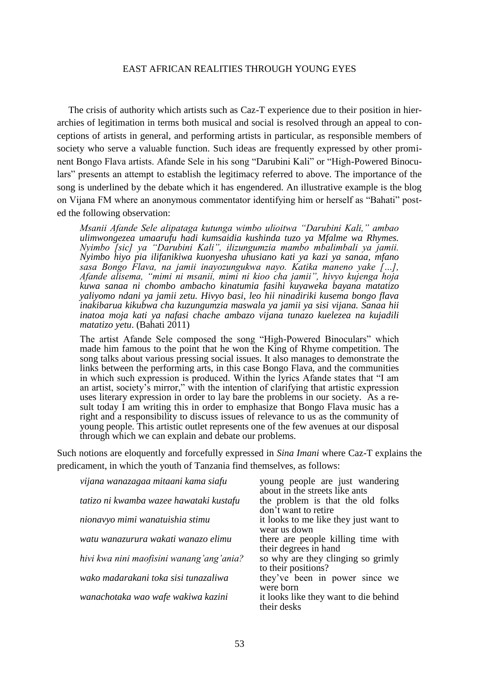The crisis of authority which artists such as Caz-T experience due to their position in hierarchies of legitimation in terms both musical and social is resolved through an appeal to conceptions of artists in general, and performing artists in particular, as responsible members of society who serve a valuable function. Such ideas are frequently expressed by other prominent Bongo Flava artists. Afande Sele in his song "Darubini Kali" or "High-Powered Binoculars" presents an attempt to establish the legitimacy referred to above. The importance of the song is underlined by the debate which it has engendered. An illustrative example is the blog on Vijana FM where an anonymous commentator identifying him or herself as "Bahati" posted the following observation:

*Msanii Afande Sele alipataga kutunga wimbo ulioitwa "Darubini Kali," ambao ulimwongezea umaarufu hadi kumsaidia kushinda tuzo ya Mfalme wa Rhymes. Nyimbo [sic] ya "Darubini Kali", ilizungumzia mambo mbalimbali ya jamii. Nyimbo hiyo pia ilifanikiwa kuonyesha uhusiano kati ya kazi ya sanaa, mfano sasa Bongo Flava, na jamii inayozungukwa nayo. Katika maneno yake […], Afande alisema, "mimi ni msanii, mimi ni kioo cha jamii", hivyo kujenga hoja kuwa sanaa ni chombo ambacho kinatumia fasihi kuyaweka bayana matatizo yaliyomo ndani ya jamii zetu. Hivyo basi, leo hii ninadiriki kusema bongo flava inakibarua kikubwa cha kuzungumzia maswala ya jamii ya sisi vijana. Sanaa hii inatoa moja kati ya nafasi chache ambazo vijana tunazo kuelezea na kujadili matatizo yetu*. (Bahati 2011)

The artist Afande Sele composed the song "High-Powered Binoculars" which made him famous to the point that he won the King of Rhyme competition. The song talks about various pressing social issues. It also manages to demonstrate the links between the performing arts, in this case Bongo Flava, and the communities in which such expression is produced. Within the lyrics Afande states that "I am an artist, society's mirror," with the intention of clarifying that artistic expression uses literary expression in order to lay bare the problems in our society. As a result today I am writing this in order to emphasize that Bongo Flava music has a right and a responsibility to discuss issues of relevance to us as the community of young people. This artistic outlet represents one of the few avenues at our disposal through which we can explain and debate our problems.

Such notions are eloquently and forcefully expressed in *Sina Imani* where Caz-T explains the predicament, in which the youth of Tanzania find themselves, as follows:

| vijana wanazagaa mitaani kama siafu      | young people are just wandering<br>about in the streets like ants |
|------------------------------------------|-------------------------------------------------------------------|
| tatizo ni kwamba wazee hawataki kustafu  | the problem is that the old folks<br>don't want to retire         |
| nionavyo mimi wanatuishia stimu          | it looks to me like they just want to<br>wear us down             |
| watu wanazurura wakati wanazo elimu      | there are people killing time with<br>their degrees in hand       |
| hivi kwa nini maofisini wanang'ang'ania? | so why are they clinging so grimly<br>to their positions?         |
| wako madarakani toka sisi tunazaliwa     | they've been in power since we<br>were born                       |
| wanachotaka wao wafe wakiwa kazini       | it looks like they want to die behind<br>their desks              |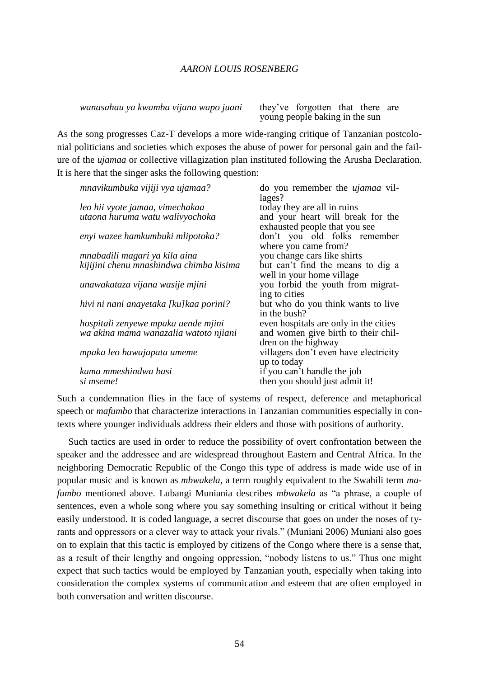*wanasahau ya kwamba vijana wapo juani* they've forgotten that there are

young people baking in the sun

As the song progresses Caz-T develops a more wide-ranging critique of Tanzanian postcolonial politicians and societies which exposes the abuse of power for personal gain and the failure of the *ujamaa* or collective villagization plan instituted following the Arusha Declaration. It is here that the singer asks the following question:

| mnavikumbuka vijiji vya ujamaa?         | do you remember the <i>ujamaa</i> vil- |
|-----------------------------------------|----------------------------------------|
|                                         | lages?                                 |
| leo hii vyote jamaa, vimechakaa         | today they are all in ruins            |
| utaona huruma watu walivyochoka         | and your heart will break for the      |
|                                         | exhausted people that you see          |
| enyi wazee hamkumbuki mlipotoka?        | don't you old folks remember           |
|                                         | where you came from?                   |
| mnabadili magari ya kila aina           | you change cars like shirts            |
| kijijini chenu mnashindwa chimba kisima | but can't find the means to dig a      |
|                                         | well in your home village              |
| unawakataza vijana wasije mjini         | you forbid the youth from migrat-      |
|                                         | ing to cities                          |
| hivi ni nani anayetaka [ku]kaa porini?  | but who do you think wants to live     |
|                                         | in the bush?                           |
| hospitali zenyewe mpaka uende mjini     | even hospitals are only in the cities  |
| wa akina mama wanazalia watoto njiani   | and women give birth to their chil-    |
|                                         | dren on the highway                    |
| mpaka leo hawajapata umeme              | villagers don't even have electricity  |
|                                         | up to today                            |
| kama mmeshindwa basi                    | if you can't handle the job            |
| si mseme!                               | then you should just admit it!         |

Such a condemnation flies in the face of systems of respect, deference and metaphorical speech or *mafumbo* that characterize interactions in Tanzanian communities especially in contexts where younger individuals address their elders and those with positions of authority.

Such tactics are used in order to reduce the possibility of overt confrontation between the speaker and the addressee and are widespread throughout Eastern and Central Africa. In the neighboring Democratic Republic of the Congo this type of address is made wide use of in popular music and is known as *mbwakela*, a term roughly equivalent to the Swahili term *mafumbo* mentioned above. Lubangi Muniania describes *mbwakela* as "a phrase, a couple of sentences, even a whole song where you say something insulting or critical without it being easily understood. It is coded language, a secret discourse that goes on under the noses of tyrants and oppressors or a clever way to attack your rivals." (Muniani 2006) Muniani also goes on to explain that this tactic is employed by citizens of the Congo where there is a sense that, as a result of their lengthy and ongoing oppression, "nobody listens to us." Thus one might expect that such tactics would be employed by Tanzanian youth, especially when taking into consideration the complex systems of communication and esteem that are often employed in both conversation and written discourse.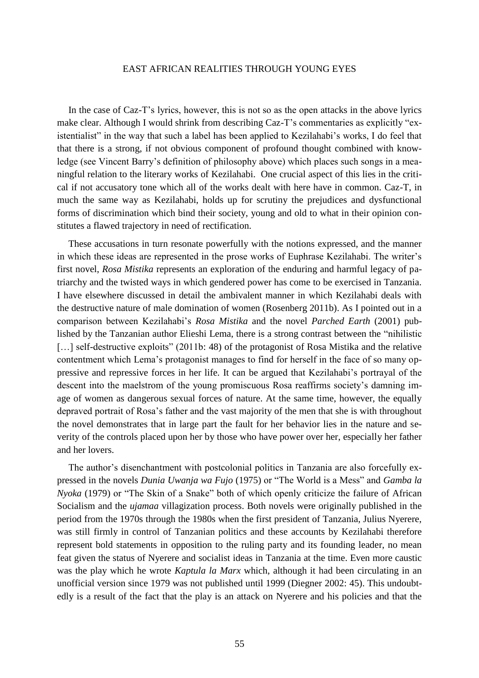In the case of Caz-T's lyrics, however, this is not so as the open attacks in the above lyrics make clear. Although I would shrink from describing Caz-T's commentaries as explicitly "existentialist" in the way that such a label has been applied to Kezilahabi's works, I do feel that that there is a strong, if not obvious component of profound thought combined with knowledge (see Vincent Barry's definition of philosophy above) which places such songs in a meaningful relation to the literary works of Kezilahabi. One crucial aspect of this lies in the critical if not accusatory tone which all of the works dealt with here have in common. Caz-T, in much the same way as Kezilahabi, holds up for scrutiny the prejudices and dysfunctional forms of discrimination which bind their society, young and old to what in their opinion constitutes a flawed trajectory in need of rectification.

These accusations in turn resonate powerfully with the notions expressed, and the manner in which these ideas are represented in the prose works of Euphrase Kezilahabi. The writer's first novel, *Rosa Mistika* represents an exploration of the enduring and harmful legacy of patriarchy and the twisted ways in which gendered power has come to be exercised in Tanzania. I have elsewhere discussed in detail the ambivalent manner in which Kezilahabi deals with the destructive nature of male domination of women (Rosenberg 2011b). As I pointed out in a comparison between Kezilahabi's *Rosa Mistika* and the novel *Parched Earth* (2001) published by the Tanzanian author Elieshi Lema, there is a strong contrast between the "nihilistic [...] self-destructive exploits" (2011b: 48) of the protagonist of Rosa Mistika and the relative contentment which Lema's protagonist manages to find for herself in the face of so many oppressive and repressive forces in her life. It can be argued that Kezilahabi's portrayal of the descent into the maelstrom of the young promiscuous Rosa reaffirms society's damning image of women as dangerous sexual forces of nature. At the same time, however, the equally depraved portrait of Rosa's father and the vast majority of the men that she is with throughout the novel demonstrates that in large part the fault for her behavior lies in the nature and severity of the controls placed upon her by those who have power over her, especially her father and her lovers.

The author's disenchantment with postcolonial politics in Tanzania are also forcefully expressed in the novels *Dunia Uwanja wa Fujo* (1975) or "The World is a Mess" and *Gamba la Nyoka* (1979) or "The Skin of a Snake" both of which openly criticize the failure of African Socialism and the *ujamaa* villagization process. Both novels were originally published in the period from the 1970s through the 1980s when the first president of Tanzania, Julius Nyerere, was still firmly in control of Tanzanian politics and these accounts by Kezilahabi therefore represent bold statements in opposition to the ruling party and its founding leader, no mean feat given the status of Nyerere and socialist ideas in Tanzania at the time. Even more caustic was the play which he wrote *Kaptula la Marx* which, although it had been circulating in an unofficial version since 1979 was not published until 1999 (Diegner 2002: 45). This undoubtedly is a result of the fact that the play is an attack on Nyerere and his policies and that the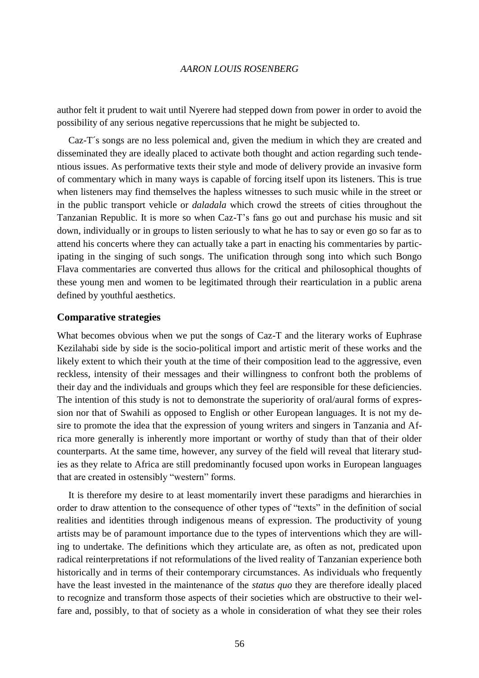author felt it prudent to wait until Nyerere had stepped down from power in order to avoid the possibility of any serious negative repercussions that he might be subjected to.

Caz-T´s songs are no less polemical and, given the medium in which they are created and disseminated they are ideally placed to activate both thought and action regarding such tendentious issues. As performative texts their style and mode of delivery provide an invasive form of commentary which in many ways is capable of forcing itself upon its listeners. This is true when listeners may find themselves the hapless witnesses to such music while in the street or in the public transport vehicle or *daladala* which crowd the streets of cities throughout the Tanzanian Republic. It is more so when Caz-T's fans go out and purchase his music and sit down, individually or in groups to listen seriously to what he has to say or even go so far as to attend his concerts where they can actually take a part in enacting his commentaries by participating in the singing of such songs. The unification through song into which such Bongo Flava commentaries are converted thus allows for the critical and philosophical thoughts of these young men and women to be legitimated through their rearticulation in a public arena defined by youthful aesthetics.

#### **Comparative strategies**

What becomes obvious when we put the songs of Caz-T and the literary works of Euphrase Kezilahabi side by side is the socio-political import and artistic merit of these works and the likely extent to which their youth at the time of their composition lead to the aggressive, even reckless, intensity of their messages and their willingness to confront both the problems of their day and the individuals and groups which they feel are responsible for these deficiencies. The intention of this study is not to demonstrate the superiority of oral/aural forms of expression nor that of Swahili as opposed to English or other European languages. It is not my desire to promote the idea that the expression of young writers and singers in Tanzania and Africa more generally is inherently more important or worthy of study than that of their older counterparts. At the same time, however, any survey of the field will reveal that literary studies as they relate to Africa are still predominantly focused upon works in European languages that are created in ostensibly "western" forms.

It is therefore my desire to at least momentarily invert these paradigms and hierarchies in order to draw attention to the consequence of other types of "texts" in the definition of social realities and identities through indigenous means of expression. The productivity of young artists may be of paramount importance due to the types of interventions which they are willing to undertake. The definitions which they articulate are, as often as not, predicated upon radical reinterpretations if not reformulations of the lived reality of Tanzanian experience both historically and in terms of their contemporary circumstances. As individuals who frequently have the least invested in the maintenance of the *status quo* they are therefore ideally placed to recognize and transform those aspects of their societies which are obstructive to their welfare and, possibly, to that of society as a whole in consideration of what they see their roles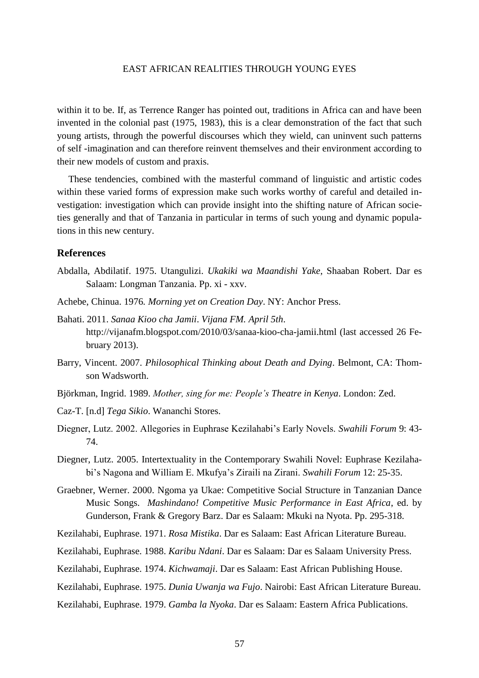within it to be. If, as Terrence Ranger has pointed out, traditions in Africa can and have been invented in the colonial past (1975, 1983), this is a clear demonstration of the fact that such young artists, through the powerful discourses which they wield, can uninvent such patterns of self -imagination and can therefore reinvent themselves and their environment according to their new models of custom and praxis.

These tendencies, combined with the masterful command of linguistic and artistic codes within these varied forms of expression make such works worthy of careful and detailed investigation: investigation which can provide insight into the shifting nature of African societies generally and that of Tanzania in particular in terms of such young and dynamic populations in this new century.

## **References**

- Abdalla, Abdilatif. 1975. Utangulizi. *Ukakiki wa Maandishi Yake*, Shaaban Robert. Dar es Salaam: Longman Tanzania. Pp. xi - xxv.
- Achebe, Chinua. 1976*. Morning yet on Creation Day*. NY: Anchor Press.
- Bahati. 2011. *Sanaa Kioo cha Jamii*. *Vijana FM. April 5th*. <http://vijanafm.blogspot.com/2010/03/sanaa-kioo-cha-jamii.html> (last accessed 26 February 2013).
- Barry, Vincent. 2007. *Philosophical Thinking about Death and Dying*. Belmont, CA: Thomson Wadsworth.
- Björkman, Ingrid. 1989. *Mother, sing for me: People's Theatre in Kenya*. London: Zed.
- Caz-T. [n.d] *Tega Sikio*. Wananchi Stores.
- Diegner, Lutz. 2002. Allegories in Euphrase Kezilahabi's Early Novels. *Swahili Forum* 9: 43- 74.
- Diegner, Lutz. 2005. Intertextuality in the Contemporary Swahili Novel: Euphrase Kezilahabi's Nagona and William E. Mkufya's Ziraili na Zirani. *Swahili Forum* 12: 25-35.
- Graebner, Werner. 2000. Ngoma ya Ukae: Competitive Social Structure in Tanzanian Dance Music Songs. *Mashindano! Competitive Music Performance in East Africa*, ed. by Gunderson, Frank & Gregory Barz. Dar es Salaam: Mkuki na Nyota. Pp. 295-318.
- Kezilahabi, Euphrase. 1971. *Rosa Mistika*. Dar es Salaam: East African Literature Bureau.
- Kezilahabi, Euphrase. 1988. *Karibu Ndani*. Dar es Salaam: Dar es Salaam University Press.
- Kezilahabi, Euphrase. 1974. *Kichwamaji*. Dar es Salaam: East African Publishing House.
- Kezilahabi, Euphrase. 1975. *Dunia Uwanja wa Fujo*. Nairobi: East African Literature Bureau.
- Kezilahabi, Euphrase. 1979. *Gamba la Nyoka*. Dar es Salaam: Eastern Africa Publications.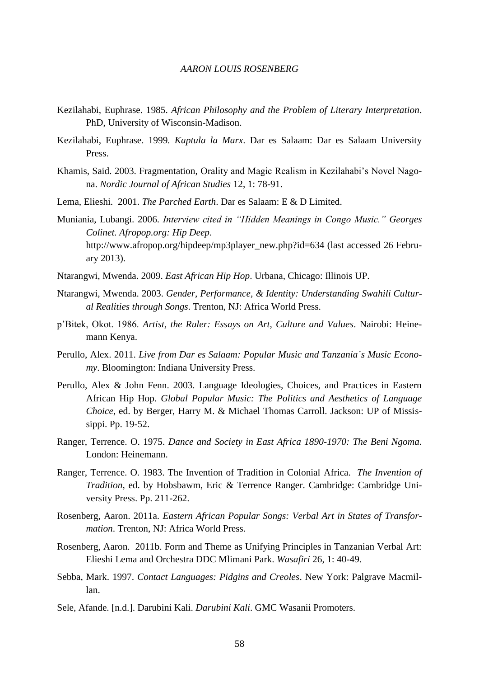- Kezilahabi, Euphrase. 1985. *African Philosophy and the Problem of Literary Interpretation*. PhD, University of Wisconsin-Madison.
- Kezilahabi, Euphrase. 1999*. Kaptula la Marx*. Dar es Salaam: Dar es Salaam University Press.
- Khamis, Said. 2003. Fragmentation, Orality and Magic Realism in Kezilahabi's Novel Nagona. *Nordic Journal of African Studies* 12, 1: 78-91.
- Lema, Elieshi. 2001. *The Parched Earth*. Dar es Salaam: E & D Limited.
- Muniania, Lubangi. 2006. *Interview cited in "Hidden Meanings in Congo Music." Georges Colinet. Afropop.org: Hip Deep*. http://www.afropop.org/hipdeep/mp3player\_new.php?id=634 (last accessed 26 February 2013).
- Ntarangwi, Mwenda. 2009. *East African Hip Hop*. Urbana, Chicago: Illinois UP.
- Ntarangwi, Mwenda. 2003. *Gender, Performance, & Identity: Understanding Swahili Cultural Realities through Songs*. Trenton, NJ: Africa World Press.
- p'Bitek, Okot. 1986. *Artist, the Ruler: Essays on Art, Culture and Values*. Nairobi: Heinemann Kenya.
- Perullo, Alex. 2011. *Live from Dar es Salaam: Popular Music and Tanzania´s Music Economy*. Bloomington: Indiana University Press.
- Perullo, Alex & John Fenn. 2003. Language Ideologies, Choices, and Practices in Eastern African Hip Hop. *Global Popular Music: The Politics and Aesthetics of Language Choice*, ed. by Berger, Harry M. & Michael Thomas Carroll. Jackson: UP of Mississippi. Pp. 19-52.
- Ranger, Terrence. O. 1975. *Dance and Society in East Africa 1890-1970: The Beni Ngoma*. London: Heinemann.
- Ranger, Terrence. O. 1983. The Invention of Tradition in Colonial Africa. *The Invention of Tradition*, ed. by Hobsbawm, Eric & Terrence Ranger. Cambridge: Cambridge University Press. Pp. 211-262.
- Rosenberg, Aaron. 2011a. *Eastern African Popular Songs: Verbal Art in States of Transformation*. Trenton, NJ: Africa World Press.
- Rosenberg, Aaron. 2011b. Form and Theme as Unifying Principles in Tanzanian Verbal Art: Elieshi Lema and Orchestra DDC Mlimani Park. *Wasafiri* 26, 1: 40-49.
- Sebba, Mark. 1997. *Contact Languages: Pidgins and Creoles*. New York: Palgrave Macmillan.
- Sele, Afande. [n.d.]. Darubini Kali. *Darubini Kali*. GMC Wasanii Promoters.